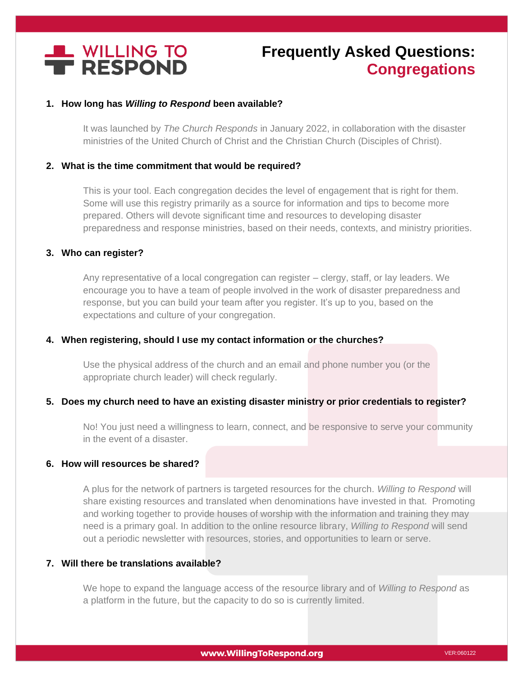

# **Frequently Asked Questions: Congregations**

## **1. How long has** *Willing to Respond* **been available?**

It was launched by *The Church Responds* in January 2022, in collaboration with the disaster ministries of the United Church of Christ and the Christian Church (Disciples of Christ).

## **2. What is the time commitment that would be required?**

This is your tool. Each congregation decides the level of engagement that is right for them. Some will use this registry primarily as a source for information and tips to become more prepared. Others will devote significant time and resources to developing disaster preparedness and response ministries, based on their needs, contexts, and ministry priorities.

## **3. Who can register?**

Any representative of a local congregation can register – clergy, staff, or lay leaders. We encourage you to have a team of people involved in the work of disaster preparedness and response, but you can build your team after you register. It's up to you, based on the expectations and culture of your congregation.

## **4. When registering, should I use my contact information or the churches?**

Use the physical address of the church and an email and phone number you (or the appropriate church leader) will check regularly.

## **5. Does my church need to have an existing disaster ministry or prior credentials to register?**

No! You just need a willingness to learn, connect, and be responsive to serve your community in the event of a disaster.

## **6. How will resources be shared?**

A plus for the network of partners is targeted resources for the church. *Willing to Respond* will share existing resources and translated when denominations have invested in that. Promoting and working together to provide houses of worship with the information and training they may need is a primary goal. In addition to the online resource library, *Willing to Respond* will send out a periodic newsletter with resources, stories, and opportunities to learn or serve.

## **7. Will there be translations available?**

We hope to expand the language access of the resource library and of *Willing to Respond* as a platform in the future, but the capacity to do so is currently limited.